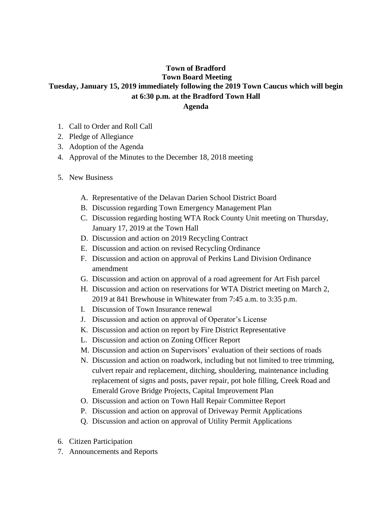## **Town of Bradford Town Board Meeting Tuesday, January 15, 2019 immediately following the 2019 Town Caucus which will begin at 6:30 p.m. at the Bradford Town Hall Agenda**

- 1. Call to Order and Roll Call
- 2. Pledge of Allegiance
- 3. Adoption of the Agenda
- 4. Approval of the Minutes to the December 18, 2018 meeting
- 5. New Business
	- A. Representative of the Delavan Darien School District Board
	- B. Discussion regarding Town Emergency Management Plan
	- C. Discussion regarding hosting WTA Rock County Unit meeting on Thursday, January 17, 2019 at the Town Hall
	- D. Discussion and action on 2019 Recycling Contract
	- E. Discussion and action on revised Recycling Ordinance
	- F. Discussion and action on approval of Perkins Land Division Ordinance amendment
	- G. Discussion and action on approval of a road agreement for Art Fish parcel
	- H. Discussion and action on reservations for WTA District meeting on March 2, 2019 at 841 Brewhouse in Whitewater from 7:45 a.m. to 3:35 p.m.
	- I. Discussion of Town Insurance renewal
	- J. Discussion and action on approval of Operator's License
	- K. Discussion and action on report by Fire District Representative
	- L. Discussion and action on Zoning Officer Report
	- M. Discussion and action on Supervisors' evaluation of their sections of roads
	- N. Discussion and action on roadwork, including but not limited to tree trimming, culvert repair and replacement, ditching, shouldering, maintenance including replacement of signs and posts, paver repair, pot hole filling, Creek Road and Emerald Grove Bridge Projects, Capital Improvement Plan
	- O. Discussion and action on Town Hall Repair Committee Report
	- P. Discussion and action on approval of Driveway Permit Applications
	- Q. Discussion and action on approval of Utility Permit Applications
- 6. Citizen Participation
- 7. Announcements and Reports